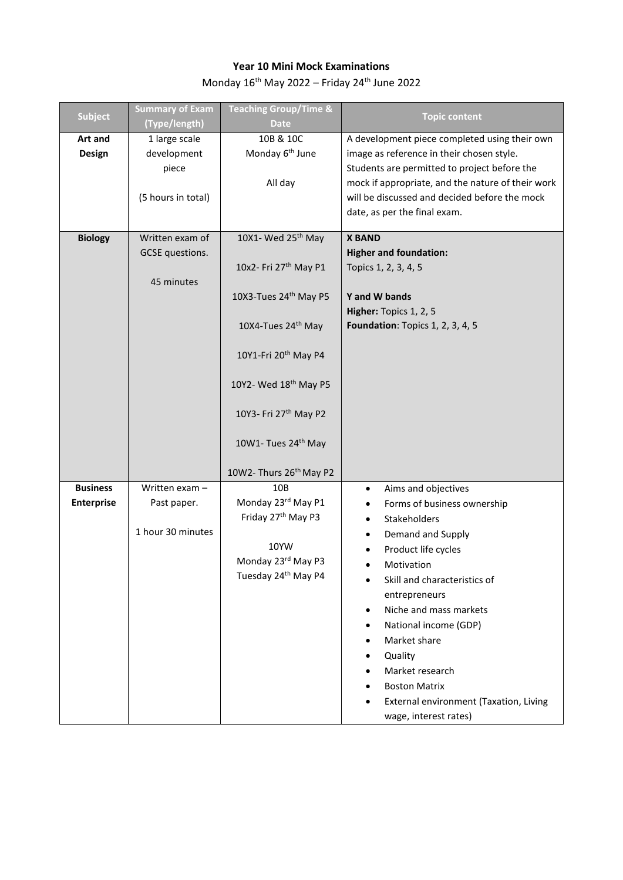## **Year 10 Mini Mock Examinations**

Monday  $16^{\text{th}}$  May 2022 – Friday 24<sup>th</sup> June 2022

| <b>Subject</b>    | <b>Summary of Exam</b><br>(Type/length) | <b>Teaching Group/Time &amp;</b><br><b>Date</b>      | <b>Topic content</b>                              |
|-------------------|-----------------------------------------|------------------------------------------------------|---------------------------------------------------|
| Art and           | 1 large scale                           | 10B & 10C                                            | A development piece completed using their own     |
| Design            | development                             | Monday 6 <sup>th</sup> June                          | image as reference in their chosen style.         |
|                   | piece                                   |                                                      | Students are permitted to project before the      |
|                   |                                         | All day                                              | mock if appropriate, and the nature of their work |
|                   | (5 hours in total)                      |                                                      | will be discussed and decided before the mock     |
|                   |                                         |                                                      | date, as per the final exam.                      |
| <b>Biology</b>    | Written exam of                         | 10X1- Wed 25 <sup>th</sup> May                       | <b>X BAND</b>                                     |
|                   | GCSE questions.                         |                                                      | <b>Higher and foundation:</b>                     |
|                   |                                         | 10x2- Fri 27 <sup>th</sup> May P1                    | Topics 1, 2, 3, 4, 5                              |
|                   | 45 minutes                              |                                                      |                                                   |
|                   |                                         | 10X3-Tues 24th May P5                                | Y and W bands                                     |
|                   |                                         |                                                      | Higher: Topics 1, 2, 5                            |
|                   |                                         | 10X4-Tues 24th May                                   | <b>Foundation:</b> Topics 1, 2, 3, 4, 5           |
|                   |                                         |                                                      |                                                   |
|                   |                                         | 10Y1-Fri 20 <sup>th</sup> May P4                     |                                                   |
|                   |                                         | 10Y2- Wed 18th May P5                                |                                                   |
|                   |                                         |                                                      |                                                   |
|                   |                                         | 10Y3- Fri 27th May P2                                |                                                   |
|                   |                                         |                                                      |                                                   |
|                   |                                         | 10W1- Tues 24th May                                  |                                                   |
|                   |                                         |                                                      |                                                   |
|                   |                                         | 10W2- Thurs 26 <sup>th</sup> May P2                  |                                                   |
| <b>Business</b>   | Written exam -                          | 10B                                                  | Aims and objectives<br>$\bullet$                  |
| <b>Enterprise</b> | Past paper.                             | Monday 23rd May P1<br>Friday 27 <sup>th</sup> May P3 | Forms of business ownership                       |
|                   | 1 hour 30 minutes                       |                                                      | Stakeholders                                      |
|                   |                                         | 10YW                                                 | Demand and Supply                                 |
|                   |                                         | Monday 23rd May P3                                   | Product life cycles                               |
|                   |                                         | Tuesday 24th May P4                                  | Motivation<br>Skill and characteristics of        |
|                   |                                         |                                                      | entrepreneurs                                     |
|                   |                                         |                                                      | Niche and mass markets                            |
|                   |                                         |                                                      | National income (GDP)                             |
|                   |                                         |                                                      | Market share                                      |
|                   |                                         |                                                      | Quality                                           |
|                   |                                         |                                                      | Market research                                   |
|                   |                                         |                                                      | <b>Boston Matrix</b>                              |
|                   |                                         |                                                      | External environment (Taxation, Living            |
|                   |                                         |                                                      | wage, interest rates)                             |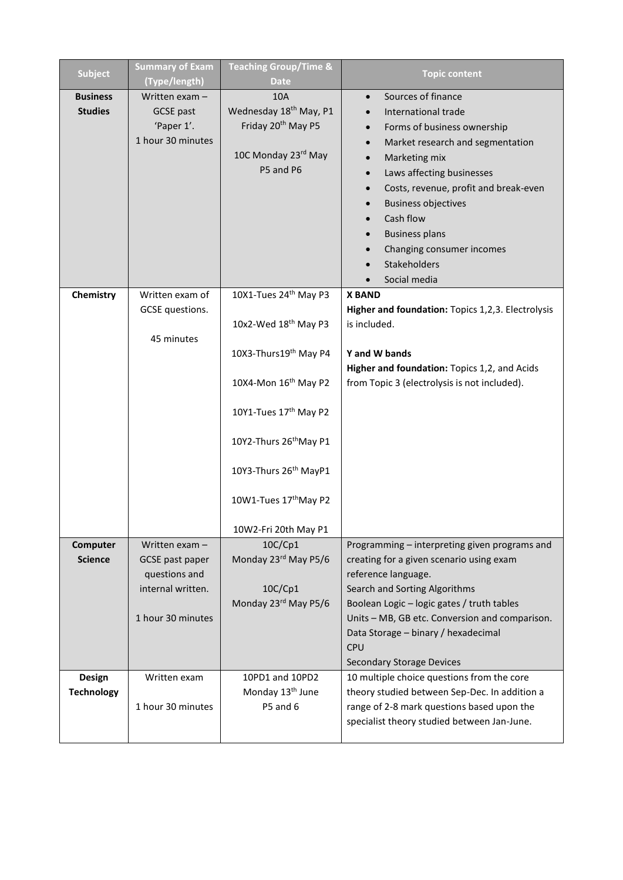| <b>Subject</b>    | <b>Summary of Exam</b><br>(Type/length) | <b>Teaching Group/Time &amp;</b><br><b>Date</b> | <b>Topic content</b>                              |
|-------------------|-----------------------------------------|-------------------------------------------------|---------------------------------------------------|
| <b>Business</b>   | Written exam -                          | 10A                                             | Sources of finance<br>$\bullet$                   |
| <b>Studies</b>    | <b>GCSE</b> past                        | Wednesday 18 <sup>th</sup> May, P1              | International trade                               |
|                   | 'Paper 1'.                              | Friday 20 <sup>th</sup> May P5                  | Forms of business ownership                       |
|                   | 1 hour 30 minutes                       |                                                 | Market research and segmentation                  |
|                   |                                         | 10C Monday 23rd May                             | Marketing mix                                     |
|                   |                                         | P5 and P6                                       | Laws affecting businesses                         |
|                   |                                         |                                                 | Costs, revenue, profit and break-even             |
|                   |                                         |                                                 | <b>Business objectives</b>                        |
|                   |                                         |                                                 | Cash flow                                         |
|                   |                                         |                                                 | <b>Business plans</b>                             |
|                   |                                         |                                                 | Changing consumer incomes                         |
|                   |                                         |                                                 | Stakeholders                                      |
|                   |                                         |                                                 | Social media                                      |
| Chemistry         | Written exam of                         | 10X1-Tues 24 <sup>th</sup> May P3               | <b>X BAND</b>                                     |
|                   | GCSE questions.                         |                                                 | Higher and foundation: Topics 1,2,3. Electrolysis |
|                   |                                         | 10x2-Wed 18 <sup>th</sup> May P3                | is included.                                      |
|                   | 45 minutes                              |                                                 |                                                   |
|                   |                                         | 10X3-Thurs19th May P4                           | Y and W bands                                     |
|                   |                                         |                                                 | Higher and foundation: Topics 1,2, and Acids      |
|                   |                                         | 10X4-Mon 16th May P2                            | from Topic 3 (electrolysis is not included).      |
|                   |                                         |                                                 |                                                   |
|                   |                                         | 10Y1-Tues 17 <sup>th</sup> May P2               |                                                   |
|                   |                                         |                                                 |                                                   |
|                   |                                         | 10Y2-Thurs 26 <sup>th</sup> May P1              |                                                   |
|                   |                                         |                                                 |                                                   |
|                   |                                         | 10Y3-Thurs 26 <sup>th</sup> MayP1               |                                                   |
|                   |                                         |                                                 |                                                   |
|                   |                                         | 10W1-Tues 17thMay P2                            |                                                   |
|                   |                                         | 10W2-Fri 20th May P1                            |                                                   |
| Computer          | Written exam -                          | 10C/Cp1                                         | Programming - interpreting given programs and     |
| <b>Science</b>    | GCSE past paper                         | Monday 23rd May P5/6                            | creating for a given scenario using exam          |
|                   | questions and                           |                                                 | reference language.                               |
|                   | internal written.                       | 10C/Cp1                                         | Search and Sorting Algorithms                     |
|                   |                                         | Monday 23rd May P5/6                            | Boolean Logic - logic gates / truth tables        |
|                   | 1 hour 30 minutes                       |                                                 | Units - MB, GB etc. Conversion and comparison.    |
|                   |                                         |                                                 | Data Storage - binary / hexadecimal               |
|                   |                                         |                                                 | CPU                                               |
|                   |                                         |                                                 | <b>Secondary Storage Devices</b>                  |
| Design            | Written exam                            | 10PD1 and 10PD2                                 | 10 multiple choice questions from the core        |
| <b>Technology</b> |                                         | Monday 13 <sup>th</sup> June                    | theory studied between Sep-Dec. In addition a     |
|                   | 1 hour 30 minutes                       | P5 and 6                                        | range of 2-8 mark questions based upon the        |
|                   |                                         |                                                 | specialist theory studied between Jan-June.       |
|                   |                                         |                                                 |                                                   |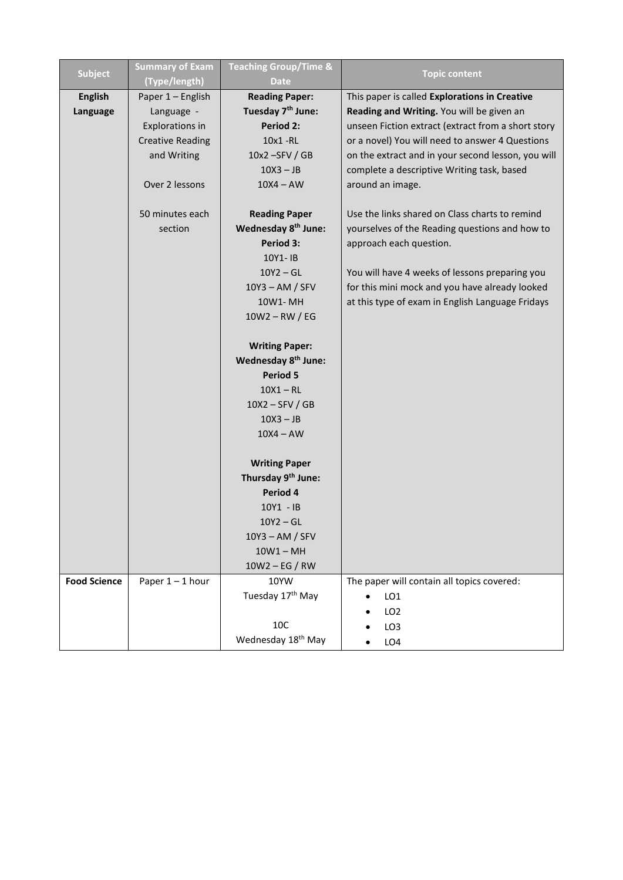| <b>Subject</b>      | <b>Summary of Exam</b><br>(Type/length) | <b>Teaching Group/Time &amp;</b><br><b>Date</b> | <b>Topic content</b>                               |
|---------------------|-----------------------------------------|-------------------------------------------------|----------------------------------------------------|
| <b>English</b>      | Paper 1 - English                       | <b>Reading Paper:</b>                           | This paper is called Explorations in Creative      |
| Language            | Language -                              | Tuesday 7 <sup>th</sup> June:                   | Reading and Writing. You will be given an          |
|                     | <b>Explorations in</b>                  | <b>Period 2:</b>                                | unseen Fiction extract (extract from a short story |
|                     | <b>Creative Reading</b>                 | $10x1 - R$                                      | or a novel) You will need to answer 4 Questions    |
|                     | and Writing                             | 10x2 - SFV / GB                                 | on the extract and in your second lesson, you will |
|                     |                                         | $10X3 - JB$                                     | complete a descriptive Writing task, based         |
|                     | Over 2 lessons                          | $10X4 - AW$                                     | around an image.                                   |
|                     | 50 minutes each                         | <b>Reading Paper</b>                            | Use the links shared on Class charts to remind     |
|                     | section                                 | Wednesday 8 <sup>th</sup> June:                 | yourselves of the Reading questions and how to     |
|                     |                                         | Period 3:                                       | approach each question.                            |
|                     |                                         | 10Y1-1B                                         |                                                    |
|                     |                                         | $10Y2 - GL$                                     | You will have 4 weeks of lessons preparing you     |
|                     |                                         | $10Y3 - AM / SFV$                               | for this mini mock and you have already looked     |
|                     |                                         | 10W1-MH                                         | at this type of exam in English Language Fridays   |
|                     |                                         | $10W2 - RW / EG$                                |                                                    |
|                     |                                         | <b>Writing Paper:</b>                           |                                                    |
|                     |                                         | Wednesday 8 <sup>th</sup> June:                 |                                                    |
|                     |                                         | <b>Period 5</b>                                 |                                                    |
|                     |                                         | $10X1 - R$                                      |                                                    |
|                     |                                         | $10X2 - SFV / GB$                               |                                                    |
|                     |                                         | $10X3 - JB$                                     |                                                    |
|                     |                                         | $10X4 - AW$                                     |                                                    |
|                     |                                         | <b>Writing Paper</b>                            |                                                    |
|                     |                                         | Thursday 9th June:                              |                                                    |
|                     |                                         | Period 4                                        |                                                    |
|                     |                                         | 10Y1 - IB                                       |                                                    |
|                     |                                         | $10Y2 - GL$                                     |                                                    |
|                     |                                         | $10Y3 - AM / SFV$                               |                                                    |
|                     |                                         | $10W1 - MH$                                     |                                                    |
|                     |                                         | $10W2 - EG / RW$                                |                                                    |
| <b>Food Science</b> | Paper $1 - 1$ hour                      | 10YW                                            | The paper will contain all topics covered:         |
|                     |                                         | Tuesday 17 <sup>th</sup> May                    | LO <sub>1</sub>                                    |
|                     |                                         |                                                 | LO <sub>2</sub>                                    |
|                     |                                         | 10C                                             | LO <sub>3</sub>                                    |
|                     |                                         | Wednesday 18 <sup>th</sup> May                  | LO4                                                |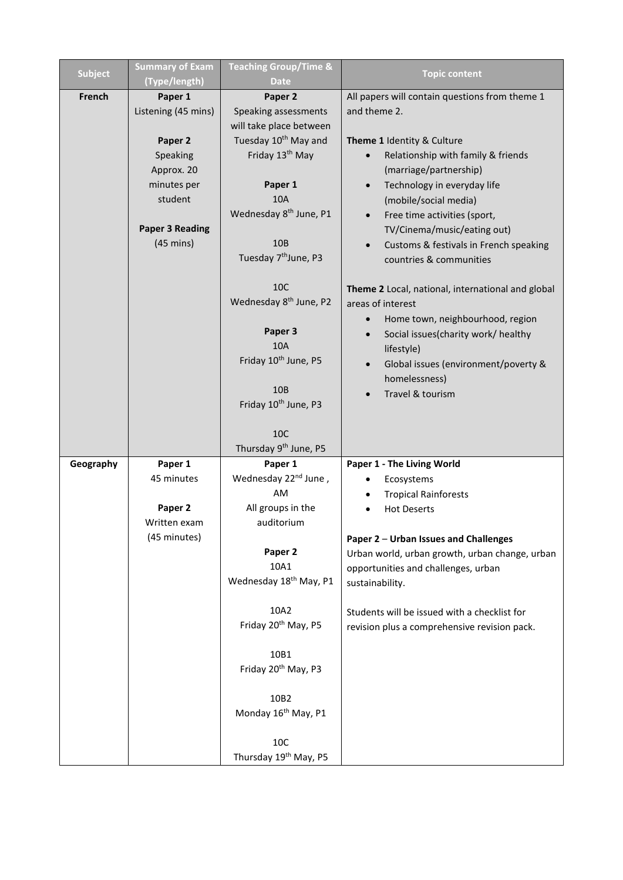| <b>Subject</b> | <b>Summary of Exam</b><br>(Type/length) | <b>Teaching Group/Time &amp;</b><br><b>Date</b> | <b>Topic content</b>                              |
|----------------|-----------------------------------------|-------------------------------------------------|---------------------------------------------------|
| French         | Paper 1                                 | Paper 2                                         | All papers will contain questions from theme 1    |
|                | Listening (45 mins)                     | Speaking assessments                            | and theme 2.                                      |
|                |                                         | will take place between                         |                                                   |
|                | Paper 2                                 | Tuesday 10 <sup>th</sup> May and                | Theme 1 Identity & Culture                        |
|                | Speaking                                | Friday 13 <sup>th</sup> May                     | Relationship with family & friends                |
|                | Approx. 20                              |                                                 | (marriage/partnership)                            |
|                | minutes per                             | Paper 1                                         | Technology in everyday life<br>$\bullet$          |
|                | student                                 | <b>10A</b>                                      | (mobile/social media)                             |
|                |                                         | Wednesday 8 <sup>th</sup> June, P1              | Free time activities (sport,                      |
|                | <b>Paper 3 Reading</b>                  |                                                 | TV/Cinema/music/eating out)                       |
|                | $(45 \text{ mins})$                     | 10B                                             | Customs & festivals in French speaking            |
|                |                                         | Tuesday 7 <sup>th</sup> June, P3                | countries & communities                           |
|                |                                         | <b>10C</b>                                      | Theme 2 Local, national, international and global |
|                |                                         | Wednesday 8 <sup>th</sup> June, P2              | areas of interest                                 |
|                |                                         |                                                 | Home town, neighbourhood, region                  |
|                |                                         | Paper 3                                         | Social issues(charity work/ healthy               |
|                |                                         | 10A                                             | lifestyle)                                        |
|                |                                         | Friday 10 <sup>th</sup> June, P5                | Global issues (environment/poverty &              |
|                |                                         |                                                 | homelessness)                                     |
|                |                                         | 10B<br>Friday 10 <sup>th</sup> June, P3         | Travel & tourism                                  |
|                |                                         |                                                 |                                                   |
|                |                                         | 10C                                             |                                                   |
|                |                                         | Thursday 9 <sup>th</sup> June, P5               |                                                   |
| Geography      | Paper 1                                 | Paper 1                                         | Paper 1 - The Living World                        |
|                | 45 minutes                              | Wednesday 22 <sup>nd</sup> June,                | Ecosystems                                        |
|                |                                         | AM                                              | <b>Tropical Rainforests</b>                       |
|                | Paper 2                                 | All groups in the                               | <b>Hot Deserts</b>                                |
|                | Written exam                            | auditorium                                      |                                                   |
|                | (45 minutes)                            |                                                 | Paper 2 - Urban Issues and Challenges             |
|                |                                         | Paper 2                                         | Urban world, urban growth, urban change, urban    |
|                |                                         | 10A1                                            | opportunities and challenges, urban               |
|                |                                         | Wednesday 18 <sup>th</sup> May, P1              | sustainability.                                   |
|                |                                         | 10A2                                            | Students will be issued with a checklist for      |
|                |                                         | Friday 20 <sup>th</sup> May, P5                 | revision plus a comprehensive revision pack.      |
|                |                                         | 10B1                                            |                                                   |
|                |                                         | Friday 20 <sup>th</sup> May, P3                 |                                                   |
|                |                                         |                                                 |                                                   |
|                |                                         | 10B2                                            |                                                   |
|                |                                         | Monday 16 <sup>th</sup> May, P1                 |                                                   |
|                |                                         | 10C                                             |                                                   |
|                |                                         | Thursday 19 <sup>th</sup> May, P5               |                                                   |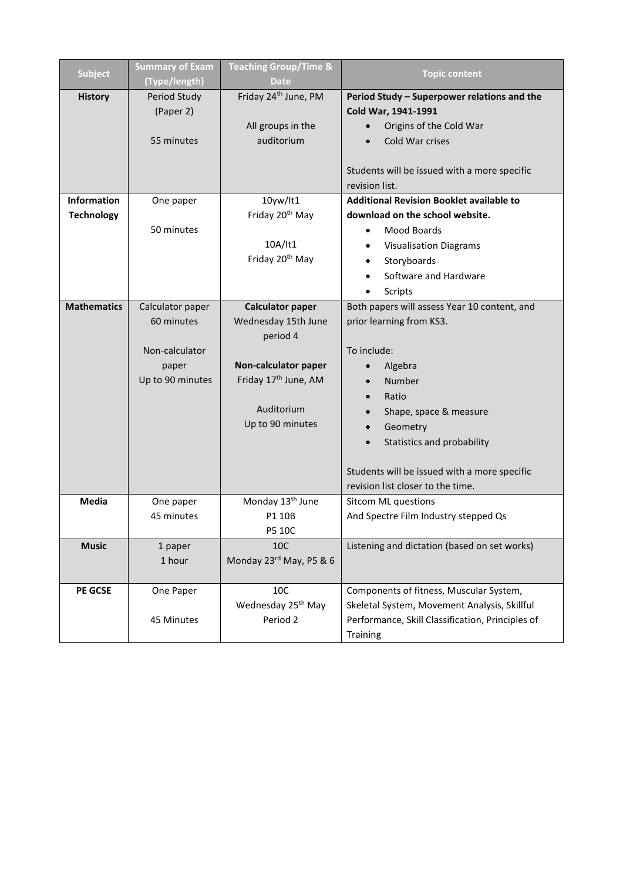| <b>Subject</b>     | <b>Summary of Exam</b> | <b>Teaching Group/Time &amp;</b> | <b>Topic content</b>                             |
|--------------------|------------------------|----------------------------------|--------------------------------------------------|
|                    | (Type/length)          | <b>Date</b>                      |                                                  |
| <b>History</b>     | Period Study           | Friday 24 <sup>th</sup> June, PM | Period Study - Superpower relations and the      |
|                    | (Paper 2)              |                                  | Cold War, 1941-1991                              |
|                    |                        | All groups in the                | Origins of the Cold War                          |
|                    | 55 minutes             | auditorium                       | Cold War crises                                  |
|                    |                        |                                  |                                                  |
|                    |                        |                                  | Students will be issued with a more specific     |
|                    |                        |                                  | revision list.                                   |
| <b>Information</b> | One paper              | 10yw/lt1                         | <b>Additional Revision Booklet available to</b>  |
| <b>Technology</b>  |                        | Friday 20 <sup>th</sup> May      | download on the school website.                  |
|                    | 50 minutes             |                                  | <b>Mood Boards</b>                               |
|                    |                        | 10A/It1                          | <b>Visualisation Diagrams</b><br>$\bullet$       |
|                    |                        | Friday 20 <sup>th</sup> May      | Storyboards                                      |
|                    |                        |                                  | Software and Hardware                            |
|                    |                        |                                  | Scripts                                          |
| <b>Mathematics</b> | Calculator paper       | <b>Calculator paper</b>          | Both papers will assess Year 10 content, and     |
|                    | 60 minutes             | Wednesday 15th June              | prior learning from KS3.                         |
|                    |                        | period 4                         |                                                  |
|                    | Non-calculator         |                                  | To include:                                      |
|                    | paper                  | Non-calculator paper             | Algebra                                          |
|                    | Up to 90 minutes       | Friday 17 <sup>th</sup> June, AM | <b>Number</b>                                    |
|                    |                        |                                  | Ratio                                            |
|                    |                        | Auditorium                       | Shape, space & measure                           |
|                    |                        | Up to 90 minutes                 | Geometry                                         |
|                    |                        |                                  | Statistics and probability                       |
|                    |                        |                                  |                                                  |
|                    |                        |                                  | Students will be issued with a more specific     |
|                    |                        |                                  | revision list closer to the time.                |
| <b>Media</b>       | One paper              | Monday 13 <sup>th</sup> June     | <b>Sitcom ML questions</b>                       |
|                    | 45 minutes             | P1 10B                           | And Spectre Film Industry stepped Qs             |
|                    |                        | P5 10C                           |                                                  |
| <b>Music</b>       | 1 paper                | 10C                              | Listening and dictation (based on set works)     |
|                    | 1 hour                 | Monday 23rd May, P5 & 6          |                                                  |
|                    |                        |                                  |                                                  |
| <b>PE GCSE</b>     | One Paper              | 10C                              | Components of fitness, Muscular System,          |
|                    |                        | Wednesday 25 <sup>th</sup> May   | Skeletal System, Movement Analysis, Skillful     |
|                    | 45 Minutes             | Period 2                         | Performance, Skill Classification, Principles of |
|                    |                        |                                  | Training                                         |